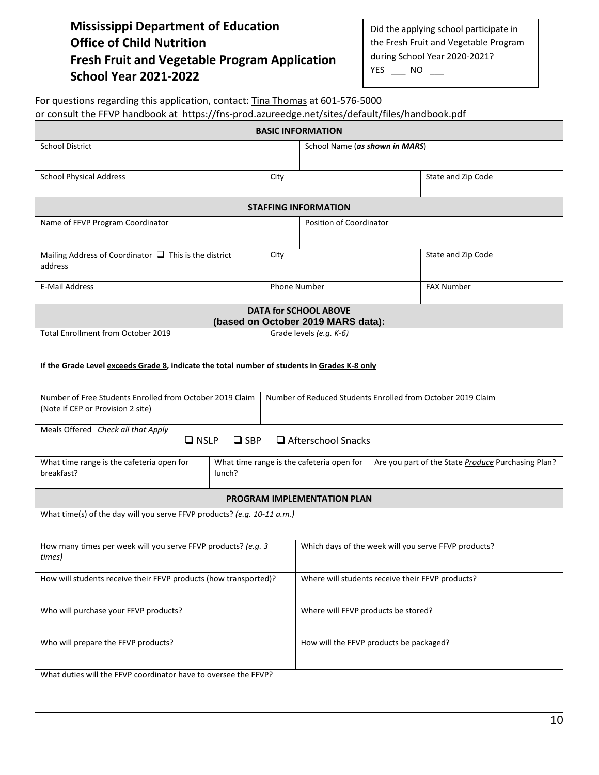## **Mississippi Department of Education Office of Child Nutrition Fresh Fruit and Vegetable Program Application School Year 2021-2022**

Did the applying school participate in the Fresh Fruit and Vegetable Program during School Year 2020-2021? YES \_\_\_ NO \_\_

| or consult the FFVP handbook at https://fns-prod.azureedge.net/sites/default/files/handbook.pdf | For questions regarding this application, contact: Tina Thomas at 601-576-5000 |
|-------------------------------------------------------------------------------------------------|--------------------------------------------------------------------------------|
|                                                                                                 |                                                                                |

| <b>BASIC INFORMATION</b>                                                                      |                                                                                                 |                                                      |                                         |  |  |  |
|-----------------------------------------------------------------------------------------------|-------------------------------------------------------------------------------------------------|------------------------------------------------------|-----------------------------------------|--|--|--|
| <b>School District</b>                                                                        |                                                                                                 | School Name (as shown in MARS)                       |                                         |  |  |  |
| <b>School Physical Address</b>                                                                | City                                                                                            |                                                      | State and Zip Code                      |  |  |  |
| <b>STAFFING INFORMATION</b>                                                                   |                                                                                                 |                                                      |                                         |  |  |  |
| Name of FFVP Program Coordinator                                                              | Position of Coordinator                                                                         |                                                      |                                         |  |  |  |
| Mailing Address of Coordinator $\Box$ This is the district<br>address                         | City                                                                                            |                                                      | State and Zip Code                      |  |  |  |
| <b>E-Mail Address</b>                                                                         | <b>Phone Number</b>                                                                             |                                                      | <b>FAX Number</b>                       |  |  |  |
|                                                                                               |                                                                                                 | <b>DATA for SCHOOL ABOVE</b>                         |                                         |  |  |  |
|                                                                                               |                                                                                                 | (based on October 2019 MARS data):                   |                                         |  |  |  |
| Total Enrollment from October 2019                                                            |                                                                                                 | Grade levels (e.g. K-6)                              |                                         |  |  |  |
| If the Grade Level exceeds Grade 8, indicate the total number of students in Grades K-8 only  |                                                                                                 |                                                      |                                         |  |  |  |
|                                                                                               |                                                                                                 |                                                      |                                         |  |  |  |
| Number of Free Students Enrolled from October 2019 Claim<br>(Note if CEP or Provision 2 site) | Number of Reduced Students Enrolled from October 2019 Claim                                     |                                                      |                                         |  |  |  |
| Meals Offered Check all that Apply<br>$\Box$ Afterschool Snacks<br>$\Box$ NSLP<br>$\Box$ SBP  |                                                                                                 |                                                      |                                         |  |  |  |
| What time range is the cafeteria open for<br>breakfast?<br>lunch?                             | What time range is the cafeteria open for<br>Are you part of the State Produce Purchasing Plan? |                                                      |                                         |  |  |  |
| <b>PROGRAM IMPLEMENTATION PLAN</b>                                                            |                                                                                                 |                                                      |                                         |  |  |  |
| What time(s) of the day will you serve FFVP products? (e.g. 10-11 a.m.)                       |                                                                                                 |                                                      |                                         |  |  |  |
| How many times per week will you serve FFVP products? (e.g. 3<br>times)                       |                                                                                                 | Which days of the week will you serve FFVP products? |                                         |  |  |  |
| How will students receive their FFVP products (how transported)?                              |                                                                                                 | Where will students receive their FFVP products?     |                                         |  |  |  |
| Who will purchase your FFVP products?                                                         |                                                                                                 | Where will FFVP products be stored?                  |                                         |  |  |  |
| Who will prepare the FFVP products?                                                           |                                                                                                 |                                                      | How will the FFVP products be packaged? |  |  |  |
| What duties will the FFVP coordinator have to oversee the FFVP?                               |                                                                                                 |                                                      |                                         |  |  |  |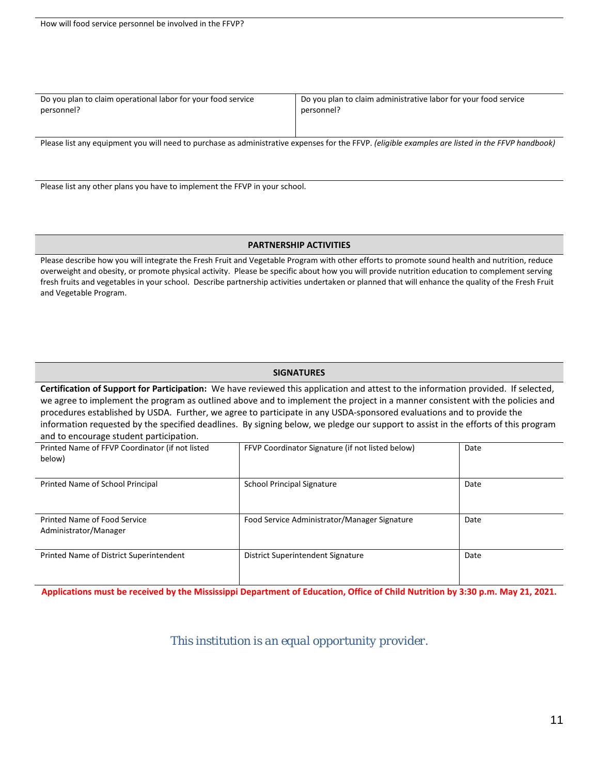| Do you plan to claim operational labor for your food service                                                                                     | Do you plan to claim administrative labor for your food service |  |  |  |
|--------------------------------------------------------------------------------------------------------------------------------------------------|-----------------------------------------------------------------|--|--|--|
| personnel?                                                                                                                                       | personnel?                                                      |  |  |  |
| Please list any equipment you will need to purchase as administrative expenses for the FFVP. (eligible examples are listed in the FFVP handbook) |                                                                 |  |  |  |

Please list any other plans you have to implement the FFVP in your school.

## **PARTNERSHIP ACTIVITIES**

Please describe how you will integrate the Fresh Fruit and Vegetable Program with other efforts to promote sound health and nutrition, reduce overweight and obesity, or promote physical activity. Please be specific about how you will provide nutrition education to complement serving fresh fruits and vegetables in your school. Describe partnership activities undertaken or planned that will enhance the quality of the Fresh Fruit and Vegetable Program.

## **SIGNATURES**

**Certification of Support for Participation:** We have reviewed this application and attest to the information provided. If selected, we agree to implement the program as outlined above and to implement the project in a manner consistent with the policies and procedures established by USDA. Further, we agree to participate in any USDA-sponsored evaluations and to provide the information requested by the specified deadlines. By signing below, we pledge our support to assist in the efforts of this program and to encourage student participation.

| Printed Name of FFVP Coordinator (if not listed<br>below) | FFVP Coordinator Signature (if not listed below) | Date |
|-----------------------------------------------------------|--------------------------------------------------|------|
| Printed Name of School Principal                          | <b>School Principal Signature</b>                | Date |
| Printed Name of Food Service<br>Administrator/Manager     | Food Service Administrator/Manager Signature     | Date |
| Printed Name of District Superintendent                   | District Superintendent Signature                | Date |

**Applications must be received by the Mississippi Department of Education, Office of Child Nutrition by 3:30 p.m. May 21, 2021.**

*This institution is an equal opportunity provider*.